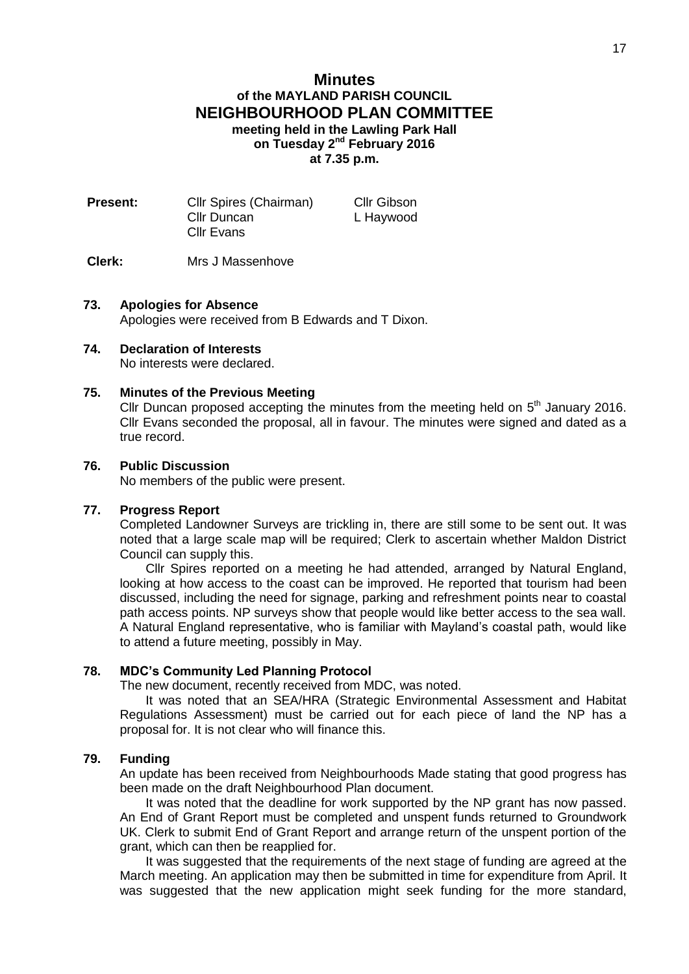## **Minutes of the MAYLAND PARISH COUNCIL NEIGHBOURHOOD PLAN COMMITTEE meeting held in the Lawling Park Hall on Tuesday 2 nd February 2016 at 7.35 p.m.**

| <b>Present:</b> | Cllr Spires (Chairman) | Cllr Gibson |
|-----------------|------------------------|-------------|
|                 | Cllr Duncan            | L Haywood   |
|                 | Cllr Evans             |             |
|                 |                        |             |

## **Clerk:** Mrs J Massenhove

### **73. Apologies for Absence**

Apologies were received from B Edwards and T Dixon.

# **74. Declaration of Interests**

No interests were declared.

#### **75. Minutes of the Previous Meeting**

Cllr Duncan proposed accepting the minutes from the meeting held on  $5<sup>th</sup>$  January 2016. Cllr Evans seconded the proposal, all in favour. The minutes were signed and dated as a true record.

#### **76. Public Discussion**

No members of the public were present.

#### **77. Progress Report**

Completed Landowner Surveys are trickling in, there are still some to be sent out. It was noted that a large scale map will be required; Clerk to ascertain whether Maldon District Council can supply this.

Cllr Spires reported on a meeting he had attended, arranged by Natural England, looking at how access to the coast can be improved. He reported that tourism had been discussed, including the need for signage, parking and refreshment points near to coastal path access points. NP surveys show that people would like better access to the sea wall. A Natural England representative, who is familiar with Mayland's coastal path, would like to attend a future meeting, possibly in May.

#### **78. MDC's Community Led Planning Protocol**

The new document, recently received from MDC, was noted.

It was noted that an SEA/HRA (Strategic Environmental Assessment and Habitat Regulations Assessment) must be carried out for each piece of land the NP has a proposal for. It is not clear who will finance this.

## **79. Funding**

An update has been received from Neighbourhoods Made stating that good progress has been made on the draft Neighbourhood Plan document.

It was noted that the deadline for work supported by the NP grant has now passed. An End of Grant Report must be completed and unspent funds returned to Groundwork UK. Clerk to submit End of Grant Report and arrange return of the unspent portion of the grant, which can then be reapplied for.

It was suggested that the requirements of the next stage of funding are agreed at the March meeting. An application may then be submitted in time for expenditure from April. It was suggested that the new application might seek funding for the more standard,